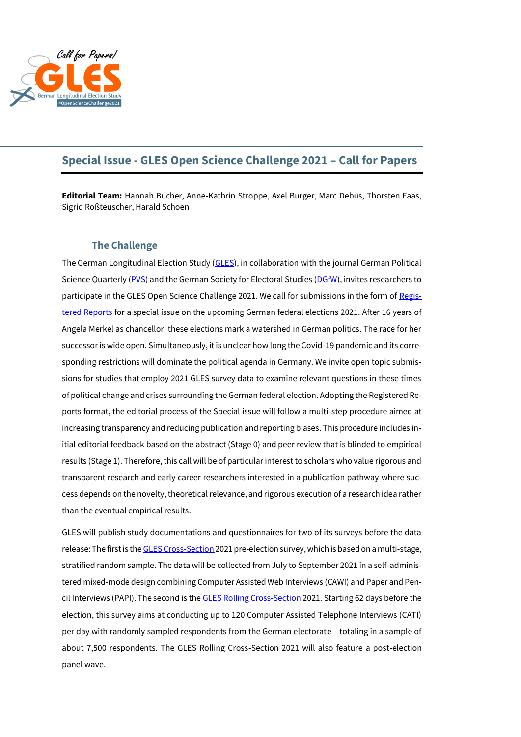

# **Special Issue - GLES Open Science Challenge 2021 – Call for Papers**

**Editorial Team:** Hannah Bucher, Anne-Kathrin Stroppe, Axel Burger, Marc Debus, Thorsten Faas, Sigrid Roßteuscher, Harald Schoen

# **The Challenge**

The German Longitudinal Election Study [\(GLES\)](https://gles-en.eu/), in collaboration with the journal German Political Science Quarterly [\(PVS\)](https://www.springer.com/journal/11615) and the German Society for Electoral Studies [\(DGfW\)](http://www.dgfw.info/en/), invites researchers to participate in the GLES Open Science Challenge 2021. We call for submissions in the form of [Regis](http://cos.io/rr)[tered Reports](http://cos.io/rr) for a special issue on the upcoming German federal elections 2021. After 16 years of Angela Merkel as chancellor, these elections mark a watershed in German politics. The race for her successor is wide open. Simultaneously, it is unclear how long the Covid-19 pandemic and its corresponding restrictions will dominate the political agenda in Germany. We invite open topic submissions for studies that employ 2021 GLES survey data to examine relevant questions in these times of political change and crises surrounding the German federal election. Adopting the Registered Reports format, the editorial process of the Special issue will follow a multi-step procedure aimed at increasing transparency and reducing publication and reporting biases. This procedure includes initial editorial feedback based on the abstract (Stage 0) and peer review that is blinded to empirical results (Stage 1). Therefore, this call will be of particular interest to scholars who value rigorous and transparent research and early career researchers interested in a publication pathway where success depends on the novelty, theoretical relevance, and rigorous execution of a research idea rather than the eventual empirical results.

GLES will publish study documentations and questionnaires for two of its surveys before the data release: The first is th[e GLES Cross-Section](https://gles-en.eu/gles/gles-design/) 2021 pre-election survey, which is based on a multi-stage, stratified random sample. The data will be collected from July to September 2021 in a self-administered mixed-mode design combining Computer Assisted Web Interviews (CAWI) and Paper and Pencil Interviews (PAPI). The second is th[e GLES Rolling Cross-Section](https://gles-en.eu/gles/gles-design/) 2021. Starting 62 days before the election, this survey aims at conducting up to 120 Computer Assisted Telephone Interviews (CATI) per day with randomly sampled respondents from the German electorate – totaling in a sample of about 7,500 respondents. The GLES Rolling Cross-Section 2021 will also feature a post-election panel wave.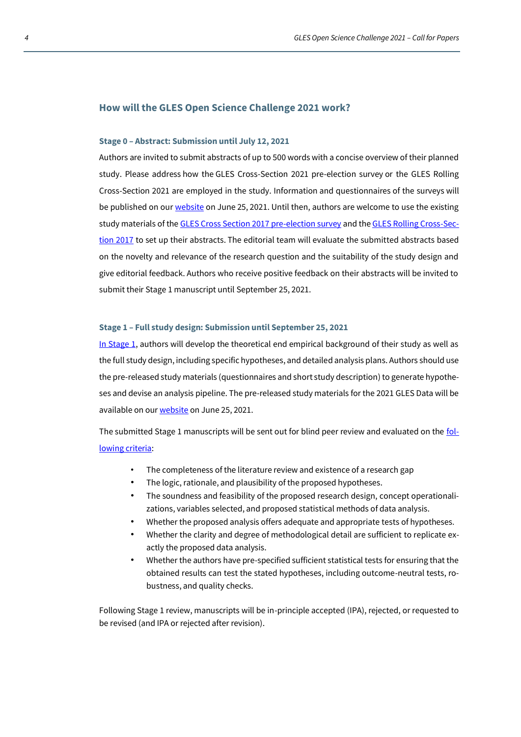### **How will the GLES Open Science Challenge 2021 work?**

#### **Stage 0 – Abstract: Submission until July 12, 2021**

Authors are invited to submit abstracts of up to 500 words with a concise overview of their planned study. Please address how the GLES Cross-Section 2021 pre-election survey or the GLES Rolling Cross-Section 2021 are employed in the study. Information and questionnaires of the surveys will be published on our [website](https://gles-en.eu/gles-open-science-challenge-2021/) on June 25, 2021. Until then, authors are welcome to use the existing study materials of the [GLES Cross Section 2017 pre-election survey](https://gles-en.eu/wp-content/uploads/2021/05/ZA6800_q.pdf) and th[e GLES Rolling Cross-Sec](https://gles-en.eu/wp-content/uploads/2021/05/ZA6803_q.pdf)[tion 2017](https://gles-en.eu/wp-content/uploads/2021/05/ZA6803_q.pdf) to set up their abstracts. The editorial team will evaluate the submitted abstracts based on the novelty and relevance of the research question and the suitability of the study design and give editorial feedback. Authors who receive positive feedback on their abstracts will be invited to submit their Stage 1 manuscript until September 25, 2021.

### **Stage 1 – Full study design: Submission until September 25, 2021**

[In Stage 1,](https://gles-en.eu/wp-content/uploads/2021/05/OSC_Guidelines_for_Authors.pdf) authors will develop the theoretical end empirical background of their study as well as the full study design, including specific hypotheses, and detailed analysis plans. Authors should use the pre-released study materials (questionnaires and short study description) to generate hypotheses and devise an analysis pipeline. The pre-released study materials for the 2021 GLES Data will be available on ou[r website](https://gles-en.eu/gles-open-science-challenge-2021/) on June 25, 2021.

The submitted Stage 1 manuscripts will be sent out for blind peer review and evaluated on the [fol](https://gles-en.eu/wp-content/uploads/2021/05/OSC_Guidelines_for_Reviewers.pdf)[lowing criteria:](https://gles-en.eu/wp-content/uploads/2021/05/OSC_Guidelines_for_Reviewers.pdf)

- The completeness of the literature review and existence of a research gap
- The logic, rationale, and plausibility of the proposed hypotheses.
- The soundness and feasibility of the proposed research design, concept operationalizations, variables selected, and proposed statistical methods of data analysis.
- Whether the proposed analysis offers adequate and appropriate tests of hypotheses.
- Whether the clarity and degree of methodological detail are sufficient to replicate exactly the proposed data analysis.
- Whether the authors have pre-specified sufficient statistical tests for ensuring that the obtained results can test the stated hypotheses, including outcome-neutral tests, robustness, and quality checks.

Following Stage 1 review, manuscripts will be in-principle accepted (IPA), rejected, or requested to be revised (and IPA or rejected after revision).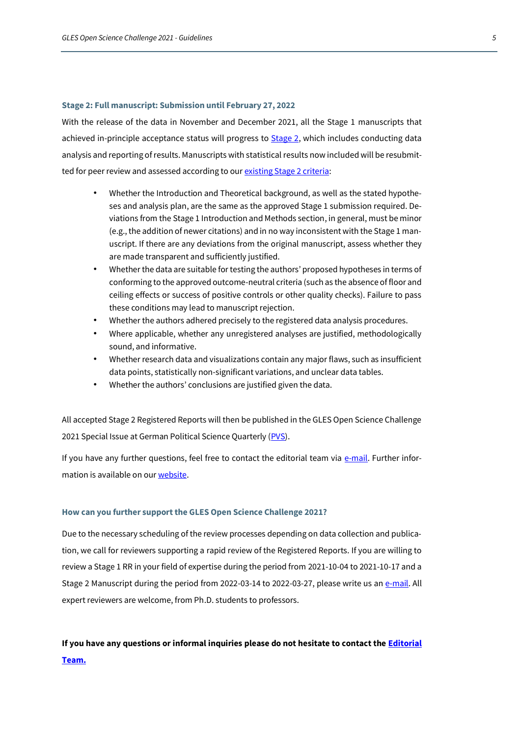#### **Stage 2: Full manuscript: Submission until February 27, 2022**

With the release of the data in November and December 2021, all the Stage 1 manuscripts that achieved in-principle acceptance status will progress to **Stage 2**, which includes conducting data analysis and reporting of results. Manuscripts with statistical results now included will be resubmitted for peer review and assessed according to ou[r existing Stage 2 criteria:](https://gles-en.eu/wp-content/uploads/2021/05/OSC_Guidelines_for_Reviewers.pdf)

- Whether the Introduction and Theoretical background, as well as the stated hypotheses and analysis plan, are the same as the approved Stage 1 submission required. Deviations from the Stage 1 Introduction and Methods section, in general, must be minor (e.g., the addition of newer citations) and in no way inconsistent with the Stage 1 manuscript. If there are any deviations from the original manuscript, assess whether they are made transparent and sufficiently justified.
- Whether the data are suitable for testing the authors' proposed hypotheses in terms of conforming to the approved outcome-neutral criteria (such as the absence of floor and ceiling effects or success of positive controls or other quality checks). Failure to pass these conditions may lead to manuscript rejection.
- Whether the authors adhered precisely to the registered data analysis procedures.
- Where applicable, whether any unregistered analyses are justified, methodologically sound, and informative.
- Whether research data and visualizations contain any major flaws, such as insufficient data points, statistically non-significant variations, and unclear data tables.
- Whether the authors' conclusions are justified given the data.

All accepted Stage 2 Registered Reports will then be published in the GLES Open Science Challenge 2021 Special Issue at German Political Science Quarterly [\(PVS\)](https://www.springer.com/journal/11615).

If you have any further questions, feel free to contact the editorial team via  $e$ -mail. Further information is available on ou[r website.](https://gles-en.eu/gles-open-science-challenge-2021/)

## **How can you further support the GLES Open Science Challenge 2021?**

Due to the necessary scheduling of the review processes depending on data collection and publication, we call for reviewers supporting a rapid review of the Registered Reports. If you are willing to review a Stage 1 RR in your field of expertise during the period from 2021-10-04 to 2021-10-17 and a Stage 2 Manuscript during the period from 2022-03-14 to 2022-03-27, please write us a[n e-mail.](mailto:gles-osc@gesis.org) All expert reviewers are welcome, from Ph.D. students to professors.

# **If you have any questions or informal inquiries please do not hesitate to contact th[e Editorial](mailto:gles-osc@gesis.org)  [Team.](mailto:gles-osc@gesis.org)**